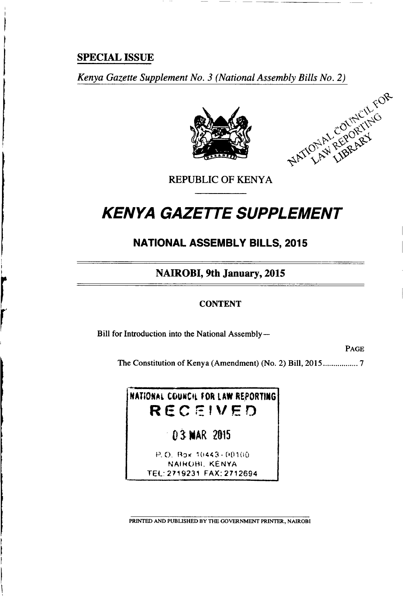## **SPECIAL ISSUE**

Kenya Gazette Supplement No. 3 (National Assembly Bills No. 2)





**REPUBLIC OF KENYA** 

# **KENYA GAZETTE SUPPLEMENT**

## **NATIONAL ASSEMBLY BILLS, 2015**

**NAIROBI**, 9th January, 2015

### **CONTENT**

Bill for Introduction into the National Assembly-

**PAGE** 

NATIONAL COUNCIL FOR LAW REPORTING RECEIVED

03 MAR 2015

P.O. Box 10443-00100 NAIROBI, KENYA TEL: 2719231 FAX: 2712694

PRINTED AND PUBLISHED BY THE GOVERNMENT PRINTER, NAIROBI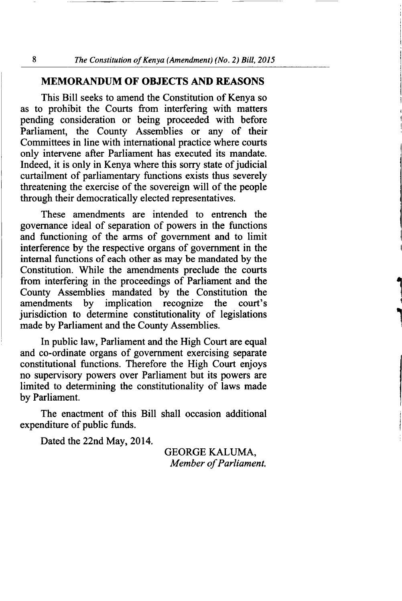#### MEMORANDUM OF OBJECTS AND REASONS

This Bill seeks to amend the Constitution of Kenya so as to prohibit the Courts from interfering with matters pending consideration or being proceeded with before Parliament, the County Assemblies or any of their Committees in line with international practice where courts only intervene after Parliament has executed its mandate. Indeed, it is only in Kenya where this sorry state of judicial curtailment of parliamentary functions exists thus severely threatening the exercise of the sovereign will of the people through their democratically elected representatives.

These amendments are intended to entrench the governance ideal of separation of powers in the functions and functioning of the arms of government and to limit interference by the respective organs of government in the internal functions of each other as may be mandated by the Constitution. While the amendments preclude the courts from interfering in the proceedings of Parliament and the County Assemblies mandated by the Constitution the amendments by implication recognize the court's by implication recognize jurisdiction to determine constitutionality of legislations made by Parliament and the County Assemblies.

In public law, Parliament and the High Court are equal and co-ordinate organs of government exercising separate constitutional functions. Therefore the High Court enjoys no supervisory powers over Parliament but its powers are limited to determining the constitutionality of laws made by Parliament.

The enactment of this Bill shall occasion additional expenditure of public funds.

Dated the 22nd May, 2014.

GEORGE KALUMA, Member of Parliament.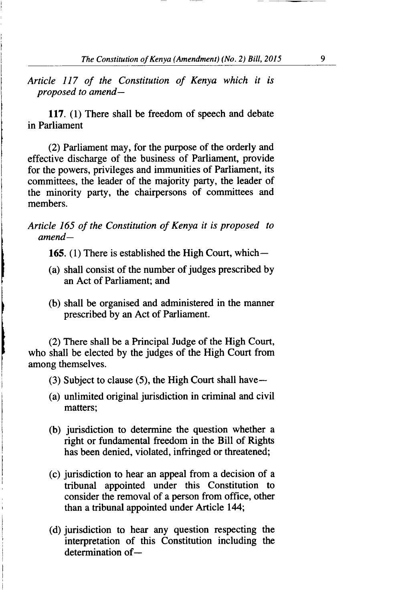Article 117 of the Constitution of Kenya which it is proposed to amend-

117. (1) There shall be freedom of speech and debate in Parliament

(2) Parliament may, for the purpose of the orderly and effective discharge of the business of Parliament, provide for the powers, privileges and immunities of Parliament, its committees, the leader of the majority party, the leader of the minority party, the chairpersons of committees and members.

Article 165 of the Constitution of Kenya it is proposed to  $amend-$ 

165. (1) There is established the High Court, which $-$ 

- (a) shall consist of the number of judges prescribed by an Act of Parliament; and
- (b) shall be organised and administered in the manner prescribed by an Act of Parliament.

(2) There shall be a Principal Judge of the High Court, who shall be elected by the judges of the High Court from among themselves.

- $(3)$  Subject to clause  $(5)$ , the High Court shall have  $-$
- (a) unlimited original jurisdiction in criminal and civil matters;
- (b) jurisdiction to determine the question whether <sup>a</sup> right or fundamental freedom in the Bill of Rights has been denied, violated, infringed or threatened;
- (c) jurisdiction to hear an appeal from a decision of a tribunal appointed under this Constitution to consider the removal of a person from office, other than a tribunal appointed under Article 144;
- (d) jurisdiction to hear any question respecting the interpretation of this Constitution including the  $d$ etermination of $-$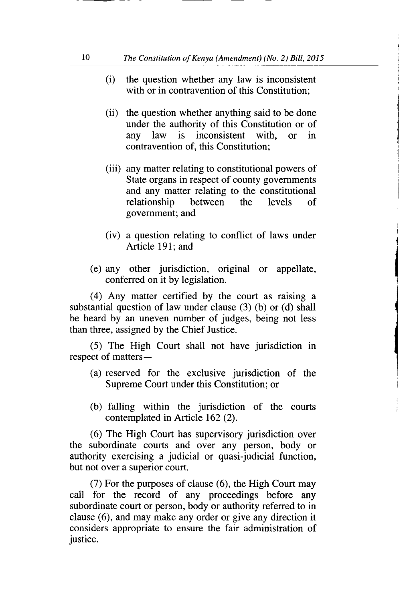- (i) the question whether any law is inconsistent with or in contravention of this Constitution:
- (ii) the question whether anything said to be done under the authority of this Constitution or of any law is inconsistent with, or in contravention of, this Constitution;
- (iii) any matter relating to constitutional powers of State organs in respect of county governments and any matter relating to the constitutional relationship between the levels of government; and
- (iv) a question relating to conflict of laws under Article 191; and
- (e) any other jurisdiction, original or appellate, conferred on it by legislation.

(4) Any matter certified by the court as raising <sup>a</sup> substantial question of law under clause (3) (b) or (d) shall be heard by an uneven number of judges, being not less than three, assigned by the Chief Justice.

(5) The High Court shall not have jurisdiction in respect of matters-

- (a) reserved for the exclusive jurisdiction of the Supreme Court under this Constitution; or
- (b) falling within the jurisdiction of the courts contemplated in Article 162 (2).

(6) The High Court has supervisory jurisdiction over the subordinate courts and over any person, body or authority exercising a judicial or quasi-judicial function, but not over a superior court.

(7) For the purposes of clause (6), the High Court may call for the record of any proceedings before any subordinate court or person, body or authority referred to in clause (6), and may make any order or give any direction it considers appropriate to ensure the fair administration of justice.